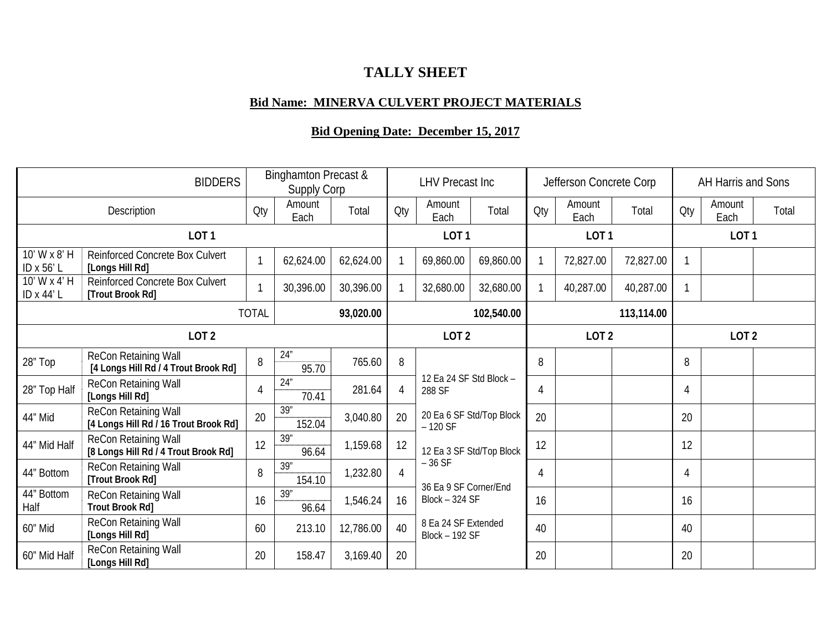## **TALLY SHEET**

## **Bid Name: MINERVA CULVERT PROJECT MATERIALS**

## **Bid Opening Date: December 15, 2017**

| <b>BIDDERS</b>             |                                                               |                | <b>Binghamton Precast &amp;</b><br>Supply Corp |           |     | <b>LHV Precast Inc</b>                                                                                                                 |           |     | Jefferson Concrete Corp |           |     | AH Harris and Sons |       |  |
|----------------------------|---------------------------------------------------------------|----------------|------------------------------------------------|-----------|-----|----------------------------------------------------------------------------------------------------------------------------------------|-----------|-----|-------------------------|-----------|-----|--------------------|-------|--|
| Description                |                                                               | Qty            | Amount<br>Each                                 | Total     | Qty | Amount<br>Each                                                                                                                         | Total     | Qty | Amount<br>Each          | Total     | Qty | Amount<br>Each     | Total |  |
| LOT <sub>1</sub>           |                                                               |                |                                                |           |     | LOT <sub>1</sub>                                                                                                                       |           |     | LOT <sub>1</sub>        |           |     | LOT <sub>1</sub>   |       |  |
| 10' W x 8' H<br>ID x 56' L | Reinforced Concrete Box Culvert<br>[Longs Hill Rd]            |                | 62,624.00                                      | 62,624.00 |     | 69,860.00                                                                                                                              | 69,860.00 |     | 72,827.00               | 72,827.00 |     |                    |       |  |
| 10' W x 4' H<br>ID x 44' L | <b>Reinforced Concrete Box Culvert</b><br>[Trout Brook Rd]    |                | 30,396.00                                      | 30,396.00 |     | 32,680.00                                                                                                                              | 32,680.00 |     | 40,287.00               | 40,287.00 |     |                    |       |  |
| <b>TOTAL</b><br>93,020.00  |                                                               |                |                                                |           |     | 102,540.00                                                                                                                             |           |     | 113,114.00              |           |     |                    |       |  |
| LOT <sub>2</sub>           |                                                               |                |                                                |           |     | LOT <sub>2</sub>                                                                                                                       |           |     | LOT <sub>2</sub>        |           |     | LOT <sub>2</sub>   |       |  |
| 28" Top                    | ReCon Retaining Wall<br>[4 Longs Hill Rd / 4 Trout Brook Rd]  | 8              | 24"<br>95.70                                   | 765.60    | 8   | 12 Ea 24 SF Std Block -<br>288 SF                                                                                                      |           | 8   |                         |           | 8   |                    |       |  |
| 28" Top Half               | ReCon Retaining Wall<br>[Longs Hill Rd]                       | $\overline{4}$ | 24"<br>70.41                                   | 281.64    | 4   |                                                                                                                                        |           | 4   |                         |           | 4   |                    |       |  |
| 44" Mid                    | ReCon Retaining Wall<br>[4 Longs Hill Rd / 16 Trout Brook Rd] | 20             | 39"<br>152.04                                  | 3,040.80  | 20  | 20 Ea 6 SF Std/Top Block<br>$-120$ SF                                                                                                  |           | 20  |                         |           | 20  |                    |       |  |
| 44" Mid Half               | ReCon Retaining Wall<br>[8 Longs Hill Rd / 4 Trout Brook Rd]  | 12             | 39"<br>96.64                                   | 1,159.68  | 12  | 12 Ea 3 SF Std/Top Block<br>$-36$ SF<br>36 Ea 9 SF Corner/End<br><b>Block - 324 SF</b><br>8 Ea 24 SF Extended<br><b>Block - 192 SF</b> |           | 12  |                         |           | 12  |                    |       |  |
| 44" Bottom                 | ReCon Retaining Wall<br>[Trout Brook Rd]                      | 8              | 39"<br>154.10                                  | 1,232.80  | 4   |                                                                                                                                        |           | 4   |                         |           | 4   |                    |       |  |
| 44" Bottom<br>Half         | ReCon Retaining Wall<br><b>Trout Brook Rd]</b>                | 16             | 39"<br>96.64                                   | 1,546.24  | 16  |                                                                                                                                        |           | 16  |                         |           | 16  |                    |       |  |
| 60" Mid                    | ReCon Retaining Wall<br>[Longs Hill Rd]                       | 60             | 213.10                                         | 12,786.00 | 40  |                                                                                                                                        |           | 40  |                         |           | 40  |                    |       |  |
| 60" Mid Half               | ReCon Retaining Wall<br>[Longs Hill Rd]                       | 20             | 158.47                                         | 3,169.40  | 20  |                                                                                                                                        |           | 20  |                         |           | 20  |                    |       |  |